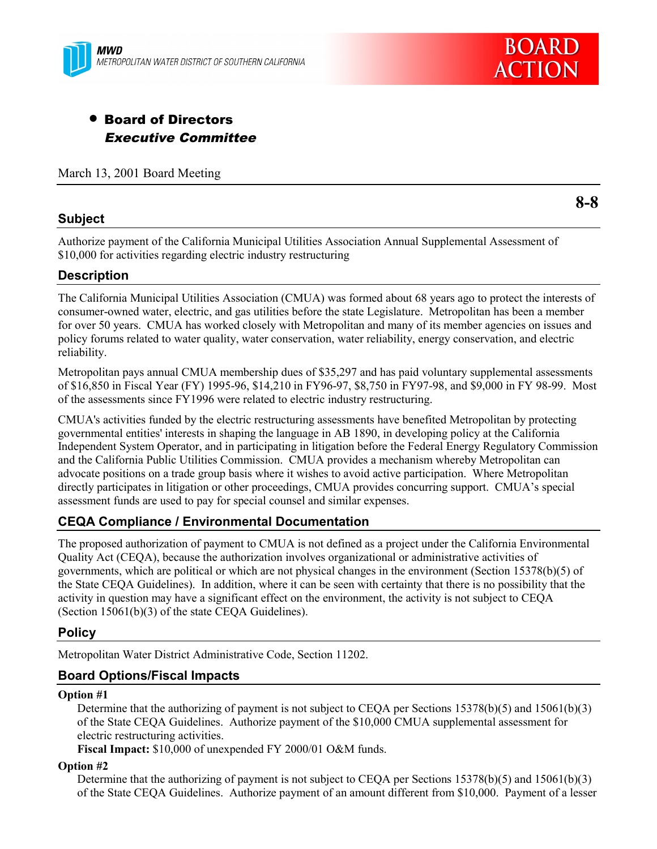



# • Board of Directors Executive Committee

March 13, 2001 Board Meeting

#### **Subject**

**8-8**

Authorize payment of the California Municipal Utilities Association Annual Supplemental Assessment of \$10,000 for activities regarding electric industry restructuring

# **Description**

The California Municipal Utilities Association (CMUA) was formed about 68 years ago to protect the interests of consumer-owned water, electric, and gas utilities before the state Legislature. Metropolitan has been a member for over 50 years. CMUA has worked closely with Metropolitan and many of its member agencies on issues and policy forums related to water quality, water conservation, water reliability, energy conservation, and electric reliability.

Metropolitan pays annual CMUA membership dues of \$35,297 and has paid voluntary supplemental assessments of \$16,850 in Fiscal Year (FY) 1995-96, \$14,210 in FY96-97, \$8,750 in FY97-98, and \$9,000 in FY 98-99. Most of the assessments since FY1996 were related to electric industry restructuring.

CMUA's activities funded by the electric restructuring assessments have benefited Metropolitan by protecting governmental entities' interests in shaping the language in AB 1890, in developing policy at the California Independent System Operator, and in participating in litigation before the Federal Energy Regulatory Commission and the California Public Utilities Commission. CMUA provides a mechanism whereby Metropolitan can advocate positions on a trade group basis where it wishes to avoid active participation. Where Metropolitan directly participates in litigation or other proceedings, CMUA provides concurring support. CMUA's special assessment funds are used to pay for special counsel and similar expenses.

# **CEQA Compliance / Environmental Documentation**

The proposed authorization of payment to CMUA is not defined as a project under the California Environmental Quality Act (CEQA), because the authorization involves organizational or administrative activities of governments, which are political or which are not physical changes in the environment (Section 15378(b)(5) of the State CEQA Guidelines). In addition, where it can be seen with certainty that there is no possibility that the activity in question may have a significant effect on the environment, the activity is not subject to CEQA (Section 15061(b)(3) of the state CEQA Guidelines).

# **Policy**

Metropolitan Water District Administrative Code, Section 11202.

# **Board Options/Fiscal Impacts**

#### **Option #1**

Determine that the authorizing of payment is not subject to CEQA per Sections 15378(b)(5) and 15061(b)(3) of the State CEQA Guidelines. Authorize payment of the \$10,000 CMUA supplemental assessment for electric restructuring activities.

**Fiscal Impact:** \$10,000 of unexpended FY 2000/01 O&M funds.

#### **Option #2**

Determine that the authorizing of payment is not subject to CEQA per Sections 15378(b)(5) and 15061(b)(3) of the State CEQA Guidelines. Authorize payment of an amount different from \$10,000. Payment of a lesser